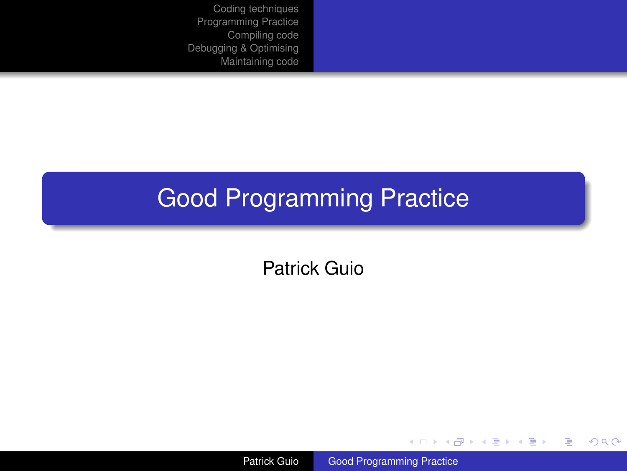## Good Programming Practice

Patrick Guio

Patrick Guio [Good Programming Practice](#page-24-0)

メロメメ 御きメ ミトメ ヨメー

重

<span id="page-0-0"></span> $299$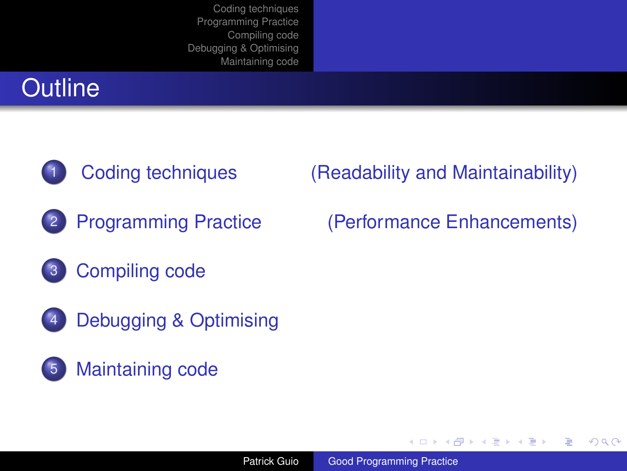





[Debugging & Optimising](#page-19-0)



### [Coding techniques \(Readability and Maintainability\)](#page-2-0)

(ロ) (伊)

医电子 化重子

ă.

<span id="page-1-0"></span> $2Q$ 

2 [Programming Practice \(Performance Enhancements\)](#page-11-0)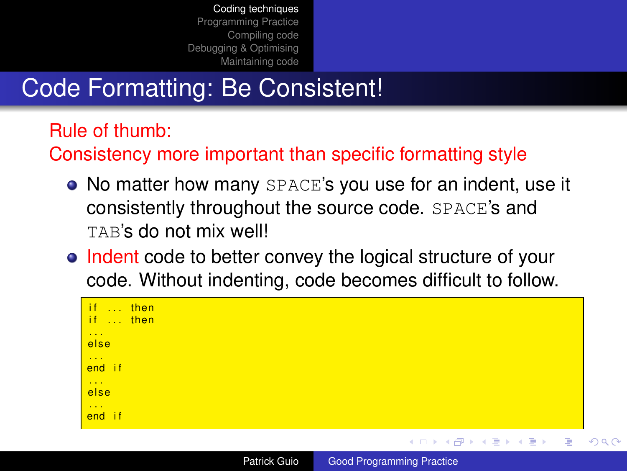## Code Formatting: Be Consistent!

Rule of thumb:

Consistency more important than specific formatting style

- No matter how many SPACE's you use for an indent, use it consistently throughout the source code. SPACE's and TAB's do not mix well!
- Indent code to better convey the logical structure of your code. Without indenting, code becomes difficult to follow.

| if  then<br>if  then<br>$\sim 10$<br>else |  |
|-------------------------------------------|--|
| $\sim 100$<br>end if                      |  |
| $\sim$ $\sim$ $\sim$<br>else              |  |
| $\sim 100$<br>end if                      |  |

Patrick Guio [Good Programming Practice](#page-0-0)

<span id="page-2-0"></span> $2Q$ 

E K.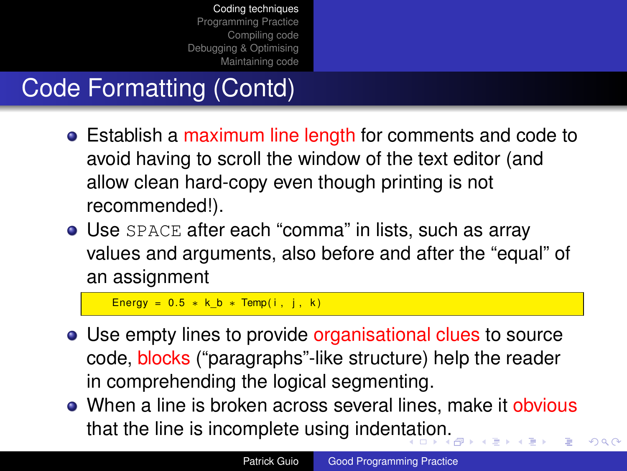# Code Formatting (Contd)

- Establish a maximum line length for comments and code to avoid having to scroll the window of the text editor (and allow clean hard-copy even though printing is not recommended!).
- Use SPACE after each "comma" in lists, such as array values and arguments, also before and after the "equal" of an assignment

<span id="page-3-0"></span>Energy =  $0.5 * k b *$  Temp( i, j, k)

- Use empty lines to provide organisational clues to source code, blocks ("paragraphs"-like structure) help the reader in comprehending the logical segmenting.
- When a line is broken across several lines, make it obvious that the line is incomplete using inden[tat](#page-2-0)i[o](#page-4-0)[n.](#page-2-0)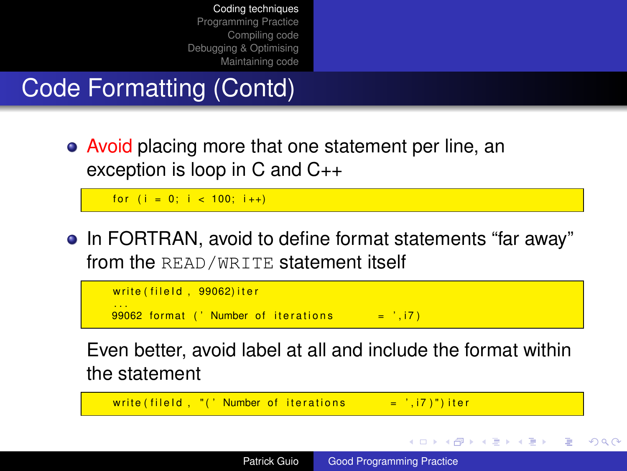Code Formatting (Contd)

• Avoid placing more that one statement per line, an exception is loop in C and C++

for  $(i = 0; i < 100; i++)$ 

• In FORTRAN, avoid to define format statements "far away" from the READ/WRITE statement itself



<span id="page-4-0"></span>Even better, avoid label at all and include the format within the statement

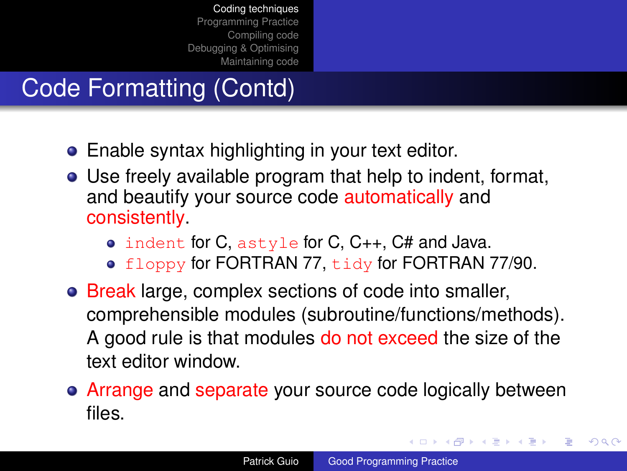## Code Formatting (Contd)

- Enable syntax highlighting in your text editor.
- Use freely available program that help to indent, format, and beautify your source code automatically and consistently.
	- indent for C, astyle for C, C++, C# and Java.
	- floppy for FORTRAN 77, tidy for FORTRAN 77/90.
- Break large, complex sections of code into smaller, comprehensible modules (subroutine/functions/methods). A good rule is that modules do not exceed the size of the text editor window.
- Arrange and separate your source code logically between files.

イロメ 不優 トイヨメ イヨメー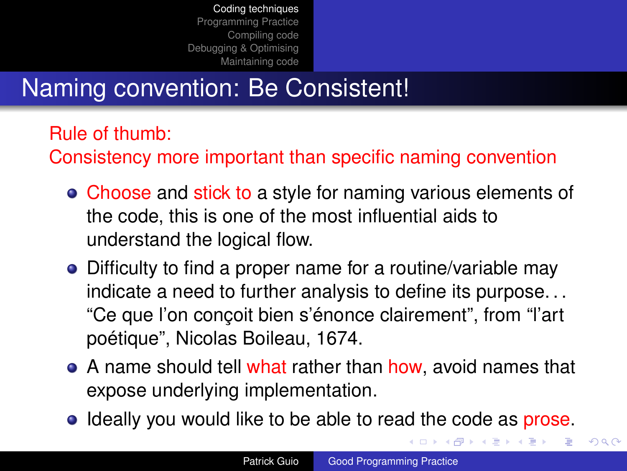## Naming convention: Be Consistent!

Rule of thumb:

Consistency more important than specific naming convention

- Choose and stick to a style for naming various elements of the code, this is one of the most influential aids to understand the logical flow.
- Difficulty to find a proper name for a routine/variable may indicate a need to further analysis to define its purpose. . . "Ce que l'on conçoit bien s'énonce clairement", from "l'art poétique", Nicolas Boileau, 1674.
- A name should tell what rather than how, avoid names that expose underlying implementation.
- **•** Ideally you would like to be able to read the code as prose.

 $2990$ 

イロメ イ押 メイヨメ イヨメ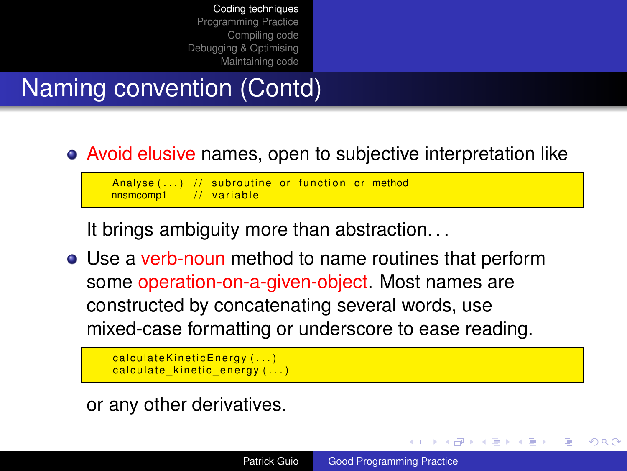## Naming convention (Contd)

### Avoid elusive names, open to subjective interpretation like

Analyse  $(...)$  // subroutine or function or method nnsmcomp1 // variable  $\frac{1}{2}$  variable

It brings ambiguity more than abstraction. . .

Use a verb-noun method to name routines that perform some operation-on-a-given-object. Most names are constructed by concatenating several words, use mixed-case formatting or underscore to ease reading.

 $cal$ calculate Kinetic Energy  $( \ldots )$  $cal$  calculate kinetic energy  $( \ldots )$ 

or any other derivatives.

K ロ ⊁ K 何 ≯ K ヨ ⊁ K ヨ ⊁

<span id="page-7-0"></span> $\Omega$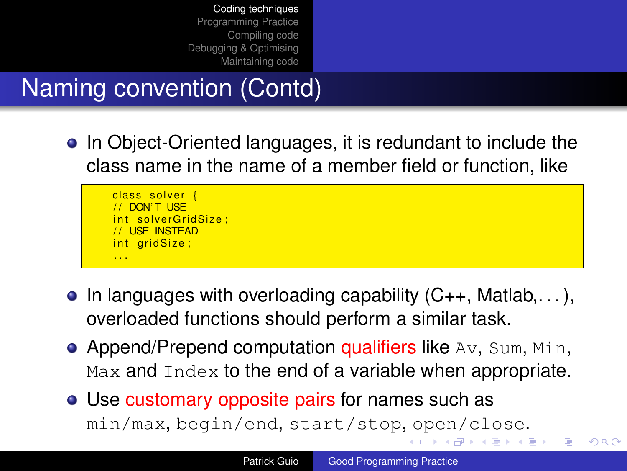Naming convention (Contd)

• In Object-Oriented languages, it is redundant to include the class name in the name of a member field or function, like

class solver { DON'T LISE s olver Grid Size : / / USE INSTEAD int gridSize: . . .

- $\bullet$  In languages with overloading capability  $(C_{++}, M$ atlab,...), overloaded functions should perform a similar task.
- Append/Prepend computation qualifiers like  $Av$ , Sum, Min, Max and Index to the end of a variable when appropriate.
- <span id="page-8-0"></span>Use customary opposite pairs for names such as min/max, begin/end, start/stop[,](#page-7-0) open/close[.](#page-2-0)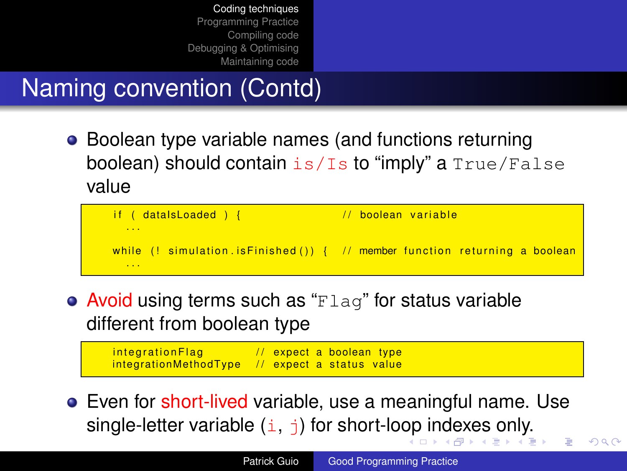## Naming convention (Contd)

• Boolean type variable names (and functions returning boolean) should contain  $is/Is$  to "imply" a  $True/False$ value



• Avoid using terms such as " $Flaq$ " for status variable different from boolean type

<span id="page-9-0"></span> $integrationFlag$  // expect a boolean type  $interactionsMethodType$  // expect a status value

**•** Even for short-lived variable, use a meaningful name. Use singl[e](#page-10-0)-[l](#page-1-0)etter variable  $(i, j)$  for short-lo[op](#page-8-0) [in](#page-10-0)[d](#page-8-0)[ex](#page-9-0)e[s](#page-1-0) [o](#page-10-0)[n](#page-11-0)l[y.](#page-2-0)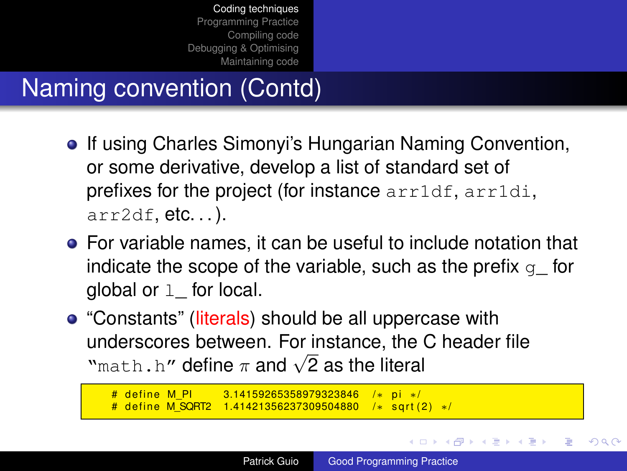## Naming convention (Contd)

- **•** If using Charles Simonyi's Hungarian Naming Convention, or some derivative, develop a list of standard set of prefixes for the project (for instance arr1df, arr1di,  $arr2df, etc.$ ...
- For variable names, it can be useful to include notation that indicate the scope of the variable, such as the prefix  $q$  for global or  $1$  for local.
- "Constants" (literals) should be all uppercase with underscores between. For instance, the C header file underscores between. For instance, the<br>"math.h" define  $\pi$  and  $\sqrt{2}$  as the literal

```
# define M_PI 3.14159265358979323846 /* pi ∗/<br># define M SQRT2 1.41421356237309504880 /* sqrt(2) ∗/
# define M_SQRT2 1.41421356237309504880
```
<span id="page-10-0"></span> $2Q$ 

∢ ロ ▶ ∢ 何 ▶ ∢ 后 ▶ ∢ 后 ▶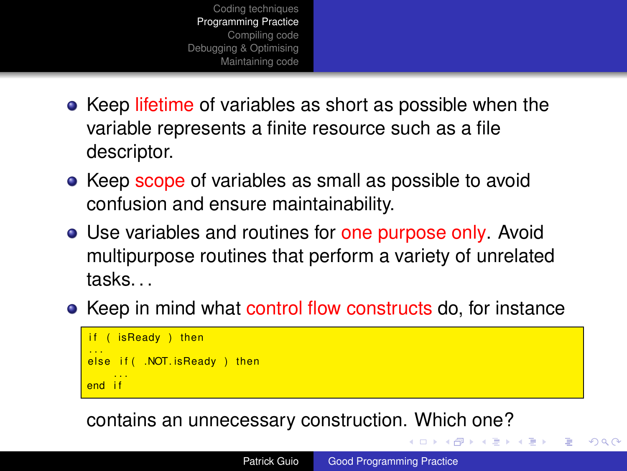- [Coding techniques](#page-2-0) [Programming Practice](#page-11-0) [Compiling code](#page-16-0) [Debugging & Optimising](#page-19-0) [Maintaining code](#page-21-0)
- Keep lifetime of variables as short as possible when the variable represents a finite resource such as a file descriptor.
- Keep scope of variables as small as possible to avoid confusion and ensure maintainability.
- Use variables and routines for one purpose only. Avoid multipurpose routines that perform a variety of unrelated tasks. . .
- Keep in mind what control flow constructs do, for instance

```
isReady ) then
...<br>else if( .NOT.isReady ) then
     . . .
end i f
```
contains an unnecessary construction. Which one?

<span id="page-11-0"></span> $\mathcal{A} \xrightarrow{\sim} \mathcal{A} \xrightarrow{\sim} \mathcal{B} \xrightarrow{\sim}$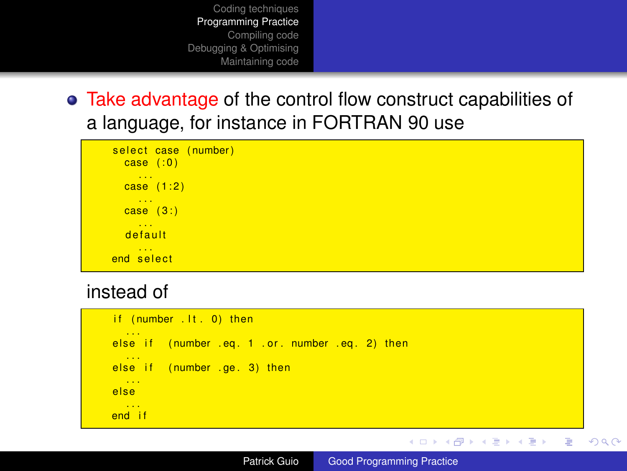• Take advantage of the control flow construct capabilities of a language, for instance in FORTRAN 90 use



#### instead of

```
if (number lt. 0) then
...<br>else if  (number .eq. 1 .or. number .eq. 2) then
  . . .
else if (number . ge. 3) then
 . . .
else
  . . .
end i f
```
Patrick Guio [Good Programming Practice](#page-0-0)

イロト イ押 トイヨ トイヨ トー

<span id="page-12-0"></span>重。  $2990$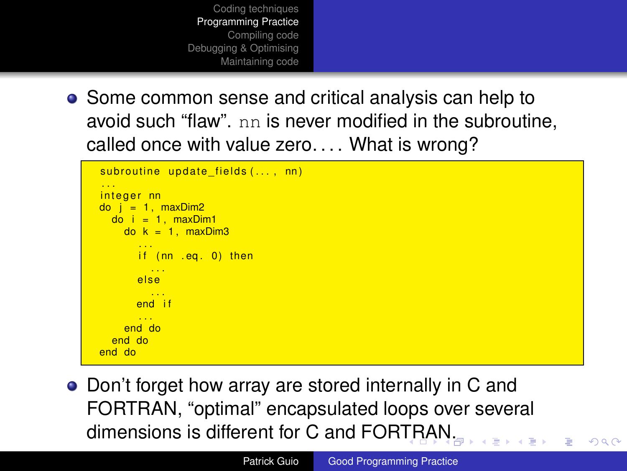- [Coding techniques](#page-2-0) [Programming Practice](#page-11-0) [Compiling code](#page-16-0) [Debugging & Optimising](#page-19-0) [Maintaining code](#page-21-0)
- Some common sense and critical analysis can help to avoid such "flaw". nn is never modified in the subroutine, called once with value zero.... What is wrong?

```
subroutine update_fields( \ldots, \text{nn} ). . .
integer nn
\overline{do} i = 1, maxDim2
      \overline{d} \overline{d} \overline{d} \overline{d} \overline{d} \overline{d} \overline{d} \overline{d} \overline{d} \overline{d} \overline{d} \overline{d} \overline{d} \overline{d} \overline{d} \overline{d} \overline{d} \overline{d} \overline{d} \overline{d} \overline{d} \overline{d} \overline{d} \overline{d} \overline{do k = 1, maxDim3
                      ...<br>if (nn .eq. 0) then
                            . . .
                    e l s e
                       . . .
                   end if
                    . . .
             end do
      end do
end do
```
<span id="page-13-0"></span>• Don't forget how array are stored internally in C and FORTRAN, "optimal" encapsulated loops over several dimensions is different for C and FOR[TR](#page-12-0)[A](#page-14-0)[N](#page-12-0)[.](#page-13-0)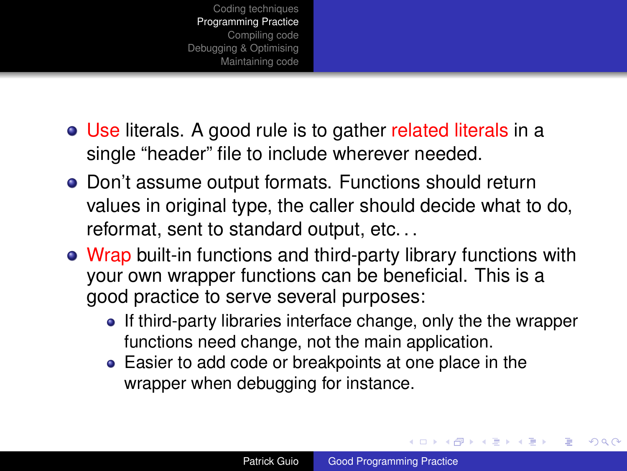- Use literals. A good rule is to gather related literals in a single "header" file to include wherever needed.
- Don't assume output formats. Functions should return values in original type, the caller should decide what to do, reformat, sent to standard output, etc. . .
- Wrap built-in functions and third-party library functions with your own wrapper functions can be beneficial. This is a good practice to serve several purposes:
	- If third-party libraries interface change, only the the wrapper functions need change, not the main application.
	- Easier to add code or breakpoints at one place in the wrapper when debugging for instance.

イロト イ押 トイヨ トイヨ トー

<span id="page-14-0"></span>ă.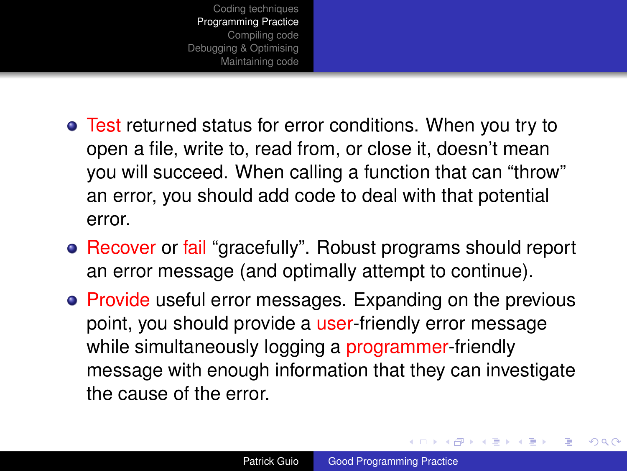- Test returned status for error conditions. When you try to open a file, write to, read from, or close it, doesn't mean you will succeed. When calling a function that can "throw" an error, you should add code to deal with that potential error.
- Recover or fail "gracefully". Robust programs should report an error message (and optimally attempt to continue).
- Provide useful error messages. Expanding on the previous point, you should provide a user-friendly error message while simultaneously logging a programmer-friendly message with enough information that they can investigate the cause of the error.

イロメ イ押メ イヨメ イヨメー

<span id="page-15-0"></span>B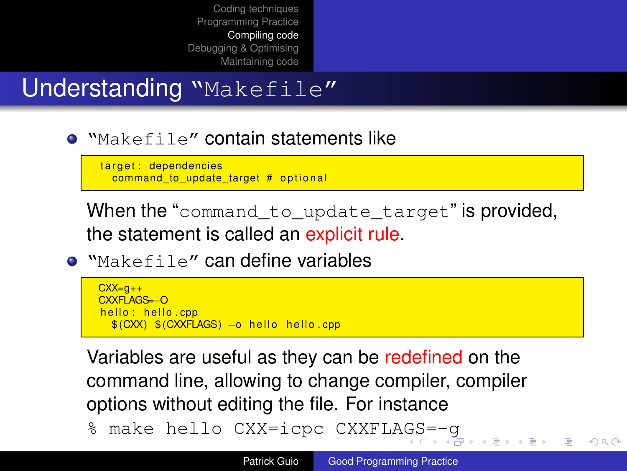### Understanding "Makefile"

**.** "Makefile" contain statements like

target: dependencies command to update target  $#$  optional

When the "command to update target" is provided. the statement is called an explicit rule.

 $\bullet$  "Makefile" can define variables

```
CXX=a++CXXFLAGS=−O
helo: hello.com$ (CXX) $ (CXXFLAGS) - o hello hello.cpp
```
Variables are useful as they can be redefined on the command line, allowing to change compiler, compiler options without editing the file. For instance

% make hello CXX=icpc CXXFLA[GS](#page-15-0)[=](#page-17-0)[-](#page-15-0)[g](#page-16-0)

<span id="page-16-0"></span> $QQ$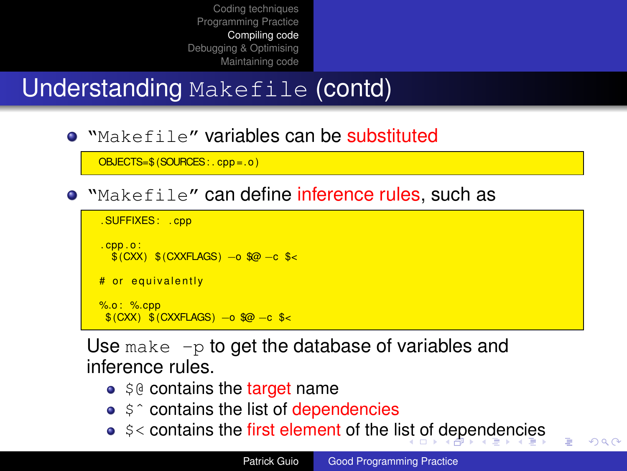## Understanding Makefile (contd)

"Makefile" variables can be substituted

OBJECTS=\$ (SOURCES: . cpp =. o )

"Makefile" can define inference rules, such as

```
. SUFFIXES : . cpp
. cpp . o :
  $ (CXX) $ (CXXFLAGS) −o $@ −c $<
# or equivalently
%.o: %.cpp
 $ (CXX) $ (CXXFLAGS) −o $@ −c $<
```
Use make  $-p$  to get the database of variables and inference rules.

- $\bullet$  \$@ contains the target name
- $$^{\circ}$  contains the list of dependencies
- <span id="page-17-0"></span> $\bullet$  $\bullet$  $\bullet$  \$< contains the fir[st](#page-16-0) element [of](#page-18-0) the list of [d](#page-16-0)[ep](#page-17-0)e[n](#page-19-0)den[c](#page-15-0)[i](#page-16-0)e[s](#page-19-0)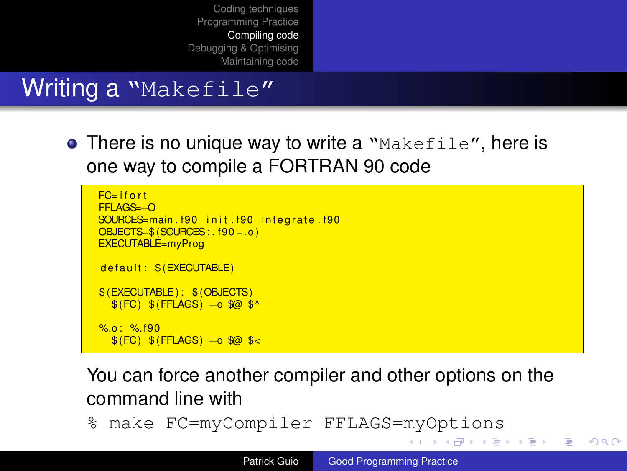### Writing a "Makefile"

**• There is no unique way to write a** "Makefile", here is one way to compile a FORTRAN 90 code

```
FC- if o rtFFLAGS=−O
SOURCES=main . f90 init . f90 integrate . f90
OBIECTS=$ (SOLIRCES): f90 = .0)EXECUTABLE=myProg
de fault : $ (EXECUTABLE)
$ (EXECUTABLE ) : $ (OBJECTS)
  \sqrt{\$ (FC) \$( FFLAGS) -o \$\ \Diamond%o : % f90$ (FC ) $ (FFLAGS ) −o $@ $<
```
You can force another compiler and other options on the command line with

% make FC=myCompiler FFLAGS=myOptions

**K ロ ▶ K 伊 ▶ K ヨ ▶ K ヨ ▶** 

<span id="page-18-0"></span>重し  $2Q$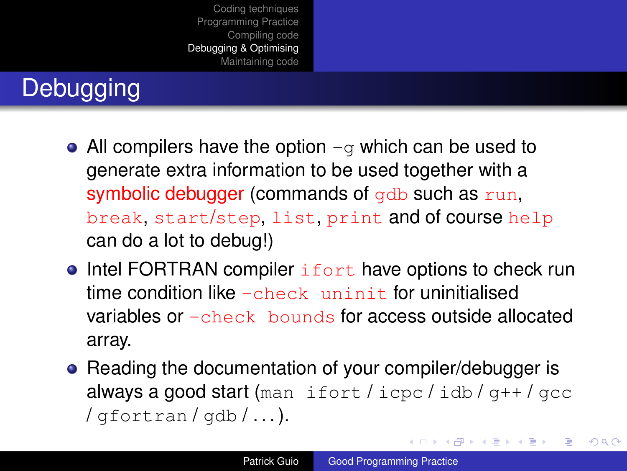# **Debugging**

- All compilers have the option  $-q$  which can be used to generate extra information to be used together with a symbolic debugger (commands of gdb such as run, break, start/step, list, print and of course help can do a lot to debug!)
- $\bullet$  Intel FORTRAN compiler  $\mathrm{i}$  fort have options to check run time condition like  $-$ check uninit for uninitialised variables or -check bounds for access outside allocated array.
- Reading the documentation of your compiler/debugger is always a good start (man ifort / icpc / idb /  $q++$  /  $qcc$  $\frac{1}{\sqrt{q}}$  fortran  $\frac{1}{q}$  db  $\frac{1}{q}$ ...

<span id="page-19-0"></span>イロメ 不優 トイヨメ イヨメー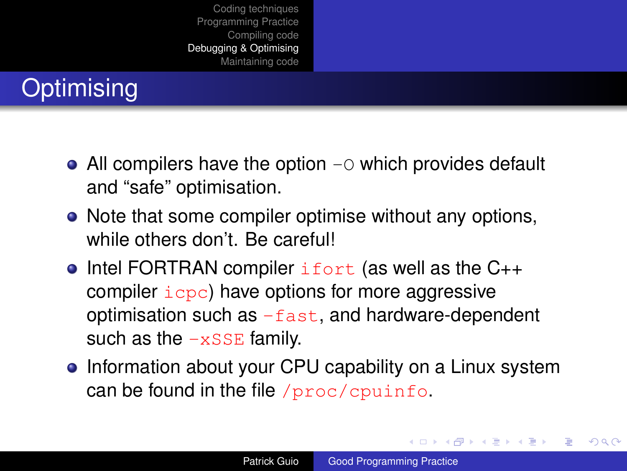# **Optimising**

- All compilers have the option  $-\circ$  which provides default and "safe" optimisation.
- Note that some compiler optimise without any options, while others don't. Be careful!
- Intel FORTRAN compiler  $ifort$  (as well as the  $C_{++}$ compiler  $icpc$ ) have options for more aggressive optimisation such as  $-fast$ , and hardware-dependent such as the  $-xSSE$  family.
- Information about your CPU capability on a Linux system can be found in the file /proc/cpuinfo.

イロメ イ押 メイヨメ イヨメ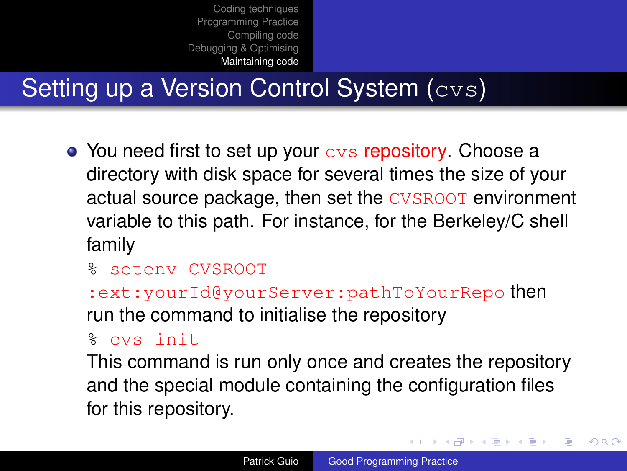## Setting up a Version Control System (cvs)

- You need first to set up your  $\cos$  repository. Choose a directory with disk space for several times the size of your actual source package, then set the CVSROOT environment variable to this path. For instance, for the Berkeley/C shell family
	- % setenv CVSROOT

:ext:yourId@yourServer:pathToYourRepo then run the command to initialise the repository

% cvs init

This command is run only once and creates the repository and the special module containing the configuration files for this repository.

イロト イ押 トイヨ トイヨト

<span id="page-21-0"></span>B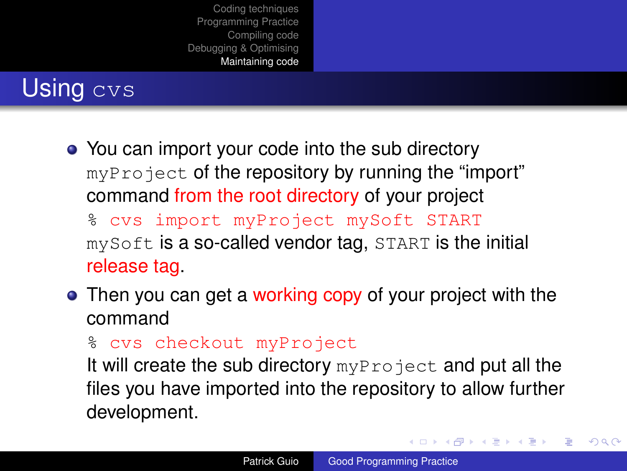## Using cvs

• You can import your code into the sub directory myProject of the repository by running the "import" command from the root directory of your project

% cvs import myProject mySoft START mySoft is a so-called vendor tag, START is the initial release tag.

- Then you can get a working copy of your project with the command
	- % cvs checkout myProject

It will create the sub directory  $myProofect$  and put all the files you have imported into the repository to allow further development.

イロト イ押 トイヨ トイヨト

B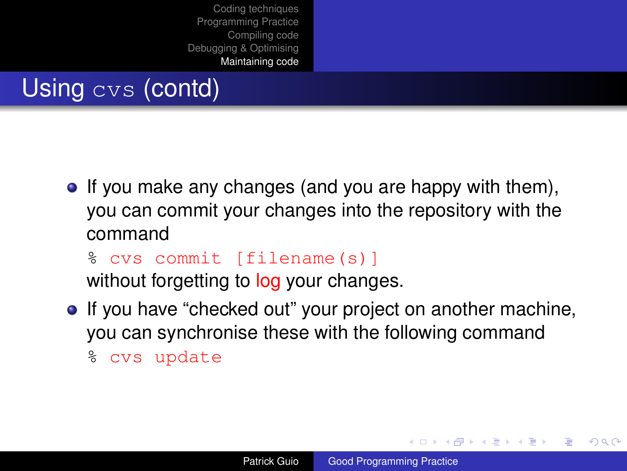## Using cvs (contd)

 $\bullet$  If you make any changes (and you are happy with them), you can commit your changes into the repository with the command

% cvs commit [filename(s)] without forgetting to log your changes.

• If you have "checked out" your project on another machine, you can synchronise these with the following command % cvs update

**≮ロ ▶ ⊀ 御 ▶ ⊀ ヨ ▶ ⊀ ヨ ▶** 

÷.  $QQ$